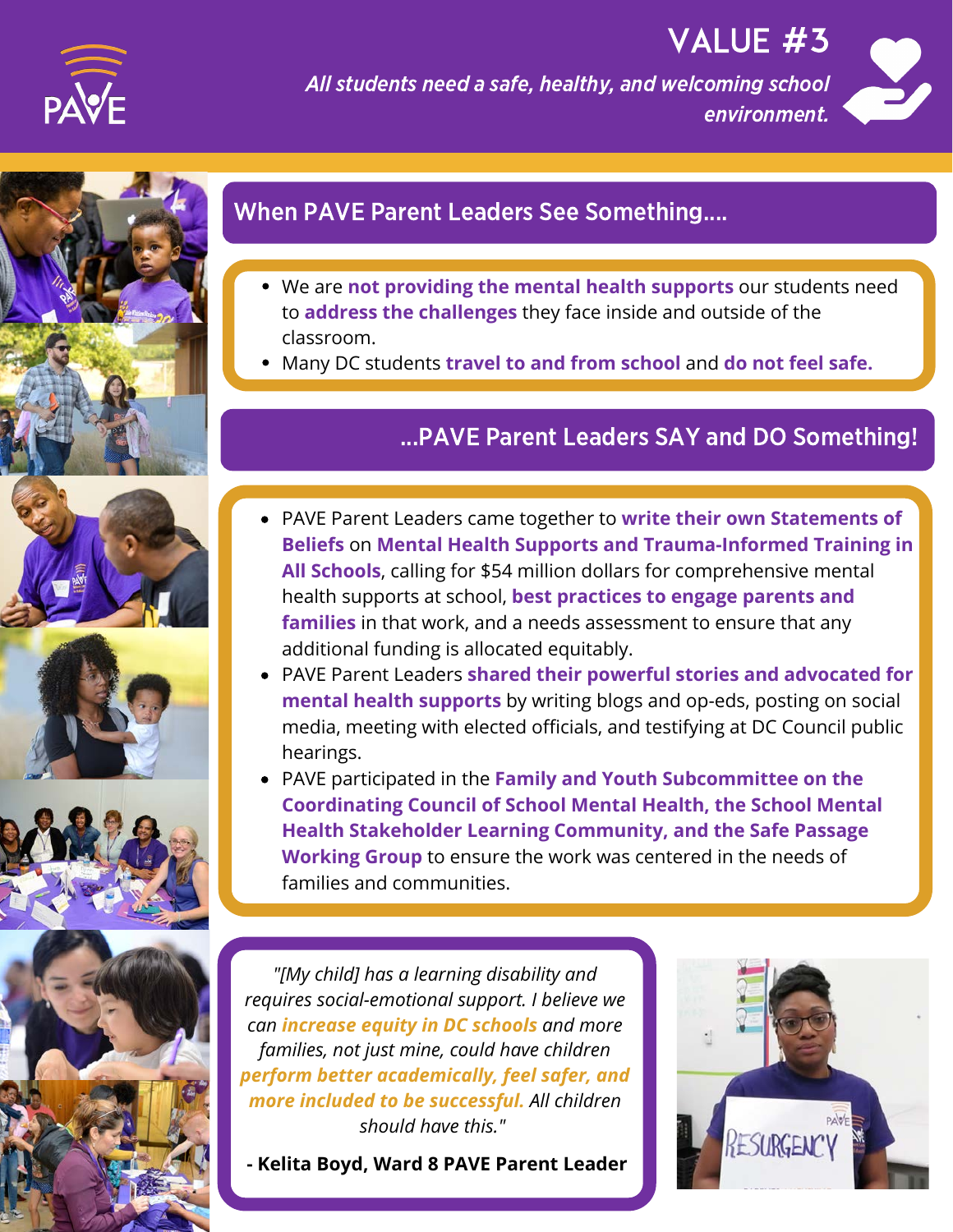

All students need a safe, healthy, and welcoming school environment.



VALUE #3



# When PAVE Parent Leaders See Something....

- We are **not providing the mental health supports** our students need to **address the challenges** they face inside and outside of the classroom.
- Many DC students **travel to and from school** and **do not feel safe.**

#### ...PAVE Parent Leaders SAY and DO Something!









**OUTCOMES families** in that work, and a needs assessment to ensure that any PAVE Parent Leaders came together to **write their own Statements of Beliefs** on **Mental Health Supports and Trauma-Informed Training in All Schools**, calling for \$54 million dollars for comprehensive mental health supports at school, **best practices to engage parents and** additional funding is allocated equitably.

- PAVE Parent Leaders **shared their powerful stories and advocated for mental health supports** by writing blogs and op-eds, posting on social media, meeting with elected officials, and testifying at DC Council public hearings.
- PAVE participated in the **Family and Youth Subcommittee on the Coordinating Council of School Mental Health, the School Mental Health Stakeholder Learning Community, and the Safe Passage Working Group** to ensure the work was centered in the needs of families and communities.

*more included to be successful. All children "[My child] has a learning disability and requires social-emotional support. I believe we can increase equity in DC schools and more families, not just mine, could have children perform better academically, feel safer, and should have this."* 

**- Kelita Boyd, Ward 8 PAVE Parent Leader**